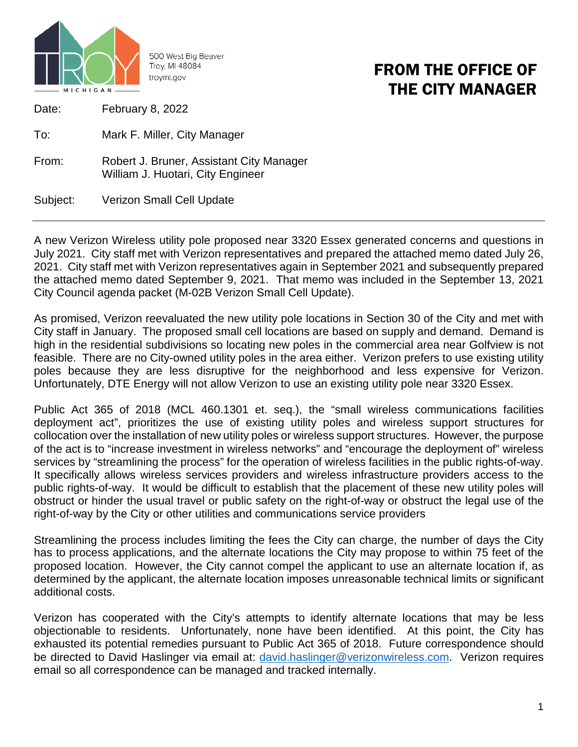

500 West Big Beaver Troy, MI 48084 troymi.gov

## FROM THE OFFICE OF THE CITY MANAGER

Date: February 8, 2022

To: Mark F. Miller, City Manager

From: Robert J. Bruner, Assistant City Manager William J. Huotari, City Engineer

Subject: Verizon Small Cell Update

A new Verizon Wireless utility pole proposed near 3320 Essex generated concerns and questions in July 2021. City staff met with Verizon representatives and prepared the attached memo dated July 26, 2021. City staff met with Verizon representatives again in September 2021 and subsequently prepared the attached memo dated September 9, 2021. That memo was included in the September 13, 2021 City Council agenda packet (M-02B Verizon Small Cell Update).

As promised, Verizon reevaluated the new utility pole locations in Section 30 of the City and met with City staff in January. The proposed small cell locations are based on supply and demand. Demand is high in the residential subdivisions so locating new poles in the commercial area near Golfview is not feasible. There are no City-owned utility poles in the area either. Verizon prefers to use existing utility poles because they are less disruptive for the neighborhood and less expensive for Verizon. Unfortunately, DTE Energy will not allow Verizon to use an existing utility pole near 3320 Essex.

Public Act 365 of 2018 (MCL 460.1301 et. seq.), the "small wireless communications facilities deployment act", prioritizes the use of existing utility poles and wireless support structures for collocation over the installation of new utility poles or wireless support structures. However, the purpose of the act is to "increase investment in wireless networks" and "encourage the deployment of" wireless services by "streamlining the process" for the operation of wireless facilities in the public rights-of-way. It specifically allows wireless services providers and wireless infrastructure providers access to the public rights-of-way. It would be difficult to establish that the placement of these new utility poles will obstruct or hinder the usual travel or public safety on the right-of-way or obstruct the legal use of the right-of-way by the City or other utilities and communications service providers

Streamlining the process includes limiting the fees the City can charge, the number of days the City has to process applications, and the alternate locations the City may propose to within 75 feet of the proposed location. However, the City cannot compel the applicant to use an alternate location if, as determined by the applicant, the alternate location imposes unreasonable technical limits or significant additional costs.

Verizon has cooperated with the City's attempts to identify alternate locations that may be less objectionable to residents. Unfortunately, none have been identified. At this point, the City has exhausted its potential remedies pursuant to Public Act 365 of 2018. Future correspondence should be directed to David Haslinger via email at: [david.haslinger@verizonwireless.com.](mailto:david.haslinger@verizonwireless.com) Verizon requires email so all correspondence can be managed and tracked internally.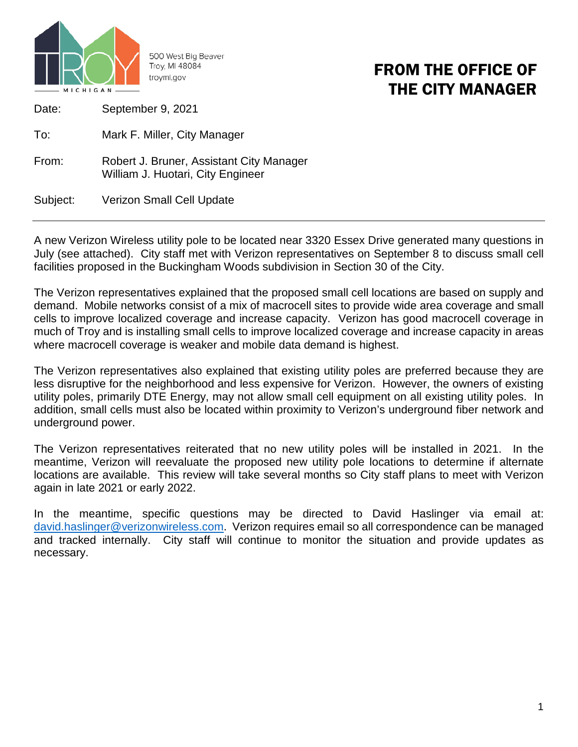

500 West Big Beaver Troy, MI 48084 troymi.gov

## FROM THE OFFICE OF THE CITY MANAGER

Date: September 9, 2021

To: Mark F. Miller, City Manager

From: Robert J. Bruner, Assistant City Manager William J. Huotari, City Engineer

Subject: Verizon Small Cell Update

A new Verizon Wireless utility pole to be located near 3320 Essex Drive generated many questions in July (see attached). City staff met with Verizon representatives on September 8 to discuss small cell facilities proposed in the Buckingham Woods subdivision in Section 30 of the City.

The Verizon representatives explained that the proposed small cell locations are based on supply and demand. Mobile networks consist of a mix of macrocell sites to provide wide area coverage and small cells to improve localized coverage and increase capacity. Verizon has good macrocell coverage in much of Troy and is installing small cells to improve localized coverage and increase capacity in areas where macrocell coverage is weaker and mobile data demand is highest.

The Verizon representatives also explained that existing utility poles are preferred because they are less disruptive for the neighborhood and less expensive for Verizon. However, the owners of existing utility poles, primarily DTE Energy, may not allow small cell equipment on all existing utility poles. In addition, small cells must also be located within proximity to Verizon's underground fiber network and underground power.

The Verizon representatives reiterated that no new utility poles will be installed in 2021. In the meantime, Verizon will reevaluate the proposed new utility pole locations to determine if alternate locations are available. This review will take several months so City staff plans to meet with Verizon again in late 2021 or early 2022.

In the meantime, specific questions may be directed to David Haslinger via email at: [david.haslinger@verizonwireless.com.](mailto:david.haslinger@verizonwireless.com) Verizon requires email so all correspondence can be managed and tracked internally. City staff will continue to monitor the situation and provide updates as necessary.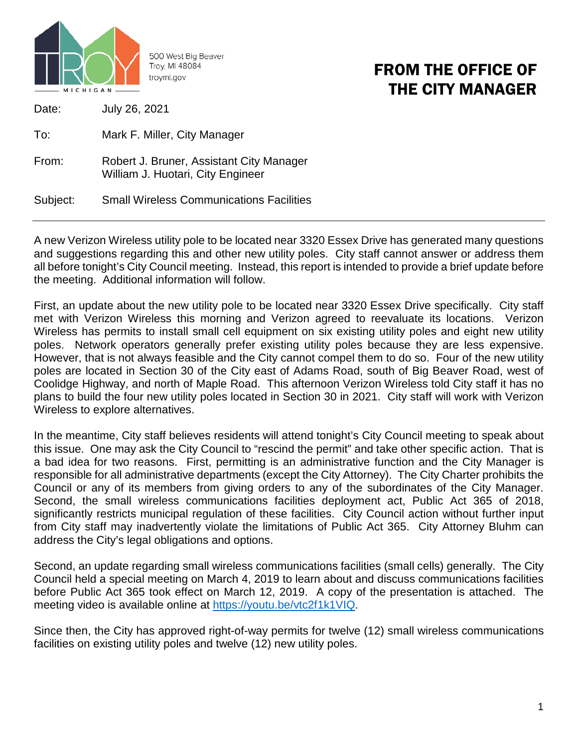

500 West Big Beaver Troy, MI 48084 troymi.gov

## FROM THE OFFICE OF THE CITY MANAGER

Date: July 26, 2021

To: Mark F. Miller, City Manager

From: Robert J. Bruner, Assistant City Manager William J. Huotari, City Engineer

Subject: Small Wireless Communications Facilities

A new Verizon Wireless utility pole to be located near 3320 Essex Drive has generated many questions and suggestions regarding this and other new utility poles. City staff cannot answer or address them all before tonight's City Council meeting. Instead, this report is intended to provide a brief update before the meeting. Additional information will follow.

First, an update about the new utility pole to be located near 3320 Essex Drive specifically. City staff met with Verizon Wireless this morning and Verizon agreed to reevaluate its locations. Verizon Wireless has permits to install small cell equipment on six existing utility poles and eight new utility poles. Network operators generally prefer existing utility poles because they are less expensive. However, that is not always feasible and the City cannot compel them to do so. Four of the new utility poles are located in Section 30 of the City east of Adams Road, south of Big Beaver Road, west of Coolidge Highway, and north of Maple Road. This afternoon Verizon Wireless told City staff it has no plans to build the four new utility poles located in Section 30 in 2021. City staff will work with Verizon Wireless to explore alternatives.

In the meantime, City staff believes residents will attend tonight's City Council meeting to speak about this issue. One may ask the City Council to "rescind the permit" and take other specific action. That is a bad idea for two reasons. First, permitting is an administrative function and the City Manager is responsible for all administrative departments (except the City Attorney). The City Charter prohibits the Council or any of its members from giving orders to any of the subordinates of the City Manager. Second, the small wireless communications facilities deployment act, Public Act 365 of 2018, significantly restricts municipal regulation of these facilities. City Council action without further input from City staff may inadvertently violate the limitations of Public Act 365. City Attorney Bluhm can address the City's legal obligations and options.

Second, an update regarding small wireless communications facilities (small cells) generally. The City Council held a special meeting on March 4, 2019 to learn about and discuss communications facilities before Public Act 365 took effect on March 12, 2019. A copy of the presentation is attached. The meeting video is available online at [https://youtu.be/vtc2f1k1VIQ.](https://youtu.be/vtc2f1k1VIQ)

Since then, the City has approved right-of-way permits for twelve (12) small wireless communications facilities on existing utility poles and twelve (12) new utility poles.